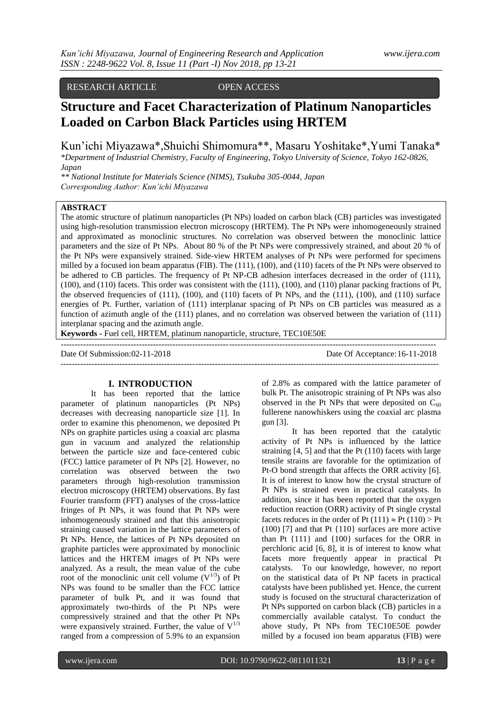RESEARCH ARTICLE OPEN ACCESS

# **Structure and Facet Characterization of Platinum Nanoparticles Loaded on Carbon Black Particles using HRTEM**

Kun'ichi Miyazawa\*,Shuichi Shimomura\*\*, Masaru Yoshitake\*,Yumi Tanaka\*

*\*Department of Industrial Chemistry, Faculty of Engineering, Tokyo University of Science, Tokyo 162-0826, Japan*

*\*\* National Institute for Materials Science (NIMS), Tsukuba 305-0044, Japan Corresponding Author: Kun'ichi Miyazawa* 

# **ABSTRACT**

The atomic structure of platinum nanoparticles (Pt NPs) loaded on carbon black (CB) particles was investigated using high-resolution transmission electron microscopy (HRTEM). The Pt NPs were inhomogeneously strained and approximated as monoclinic structures. No correlation was observed between the monoclinic lattice parameters and the size of Pt NPs. About 80 % of the Pt NPs were compressively strained, and about 20 % of the Pt NPs were expansively strained. Side-view HRTEM analyses of Pt NPs were performed for specimens milled by a focused ion beam apparatus (FIB). The (111), (100), and (110) facets of the Pt NPs were observed to be adhered to CB particles. The frequency of Pt NP-CB adhesion interfaces decreased in the order of (111), (100), and (110) facets. This order was consistent with the (111), (100), and (110) planar packing fractions of Pt, the observed frequencies of (111), (100), and (110) facets of Pt NPs, and the (111), (100), and (110) surface energies of Pt. Further, variation of (111) interplanar spacing of Pt NPs on CB particles was measured as a function of azimuth angle of the (111) planes, and no correlation was observed between the variation of (111) interplanar spacing and the azimuth angle.

**Keywords -** Fuel cell, HRTEM, platinum nanoparticle, structure, TEC10E50E

-------------------------------------------------------------------------------------------------------------------------------------- Date Of Submission:02-11-2018 Date Of Acceptance:16-11-2018 ---------------------------------------------------------------------------------------------------------------------------------------

# **I. INTRODUCTION**

It has been reported that the lattice parameter of platinum nanoparticles (Pt NPs) decreases with decreasing nanoparticle size [1]. In order to examine this phenomenon, we deposited Pt NPs on graphite particles using a coaxial arc plasma gun in vacuum and analyzed the relationship between the particle size and face-centered cubic (FCC) lattice parameter of Pt NPs [2]. However, no correlation was observed between the two parameters through high-resolution transmission electron microscopy (HRTEM) observations. By fast Fourier transform (FFT) analyses of the cross-lattice fringes of Pt NPs, it was found that Pt NPs were inhomogeneously strained and that this anisotropic straining caused variation in the lattice parameters of Pt NPs. Hence, the lattices of Pt NPs deposited on graphite particles were approximated by monoclinic lattices and the HRTEM images of Pt NPs were analyzed. As a result, the mean value of the cube root of the monoclinic unit cell volume  $(V^{1/3})$  of Pt NPs was found to be smaller than the FCC lattice parameter of bulk Pt, and it was found that approximately two-thirds of the Pt NPs were compressively strained and that the other Pt NPs were expansively strained. Further, the value of  $V^{1/3}$ ranged from a compression of 5.9% to an expansion

of 2.8% as compared with the lattice parameter of bulk Pt. The anisotropic straining of Pt NPs was also observed in the Pt NPs that were deposited on  $C_{60}$ fullerene nanowhiskers using the coaxial arc plasma gun [3].

It has been reported that the catalytic activity of Pt NPs is influenced by the lattice straining [4, 5] and that the Pt (110) facets with large tensile strains are favorable for the optimization of Pt-O bond strength that affects the ORR activity [6]. It is of interest to know how the crystal structure of Pt NPs is strained even in practical catalysts. In addition, since it has been reported that the oxygen reduction reaction (ORR) activity of Pt single crystal facets reduces in the order of Pt (111)  $\approx$  Pt (110)  $>$  Pt (100) [7] and that Pt {110} surfaces are more active than Pt {111} and {100} surfaces for the ORR in perchloric acid [6, 8], it is of interest to know what facets more frequently appear in practical Pt catalysts. To our knowledge, however, no report on the statistical data of Pt NP facets in practical catalysts have been published yet. Hence, the current study is focused on the structural characterization of Pt NPs supported on carbon black (CB) particles in a commercially available catalyst. To conduct the above study, Pt NPs from TEC10E50E powder milled by a focused ion beam apparatus (FIB) were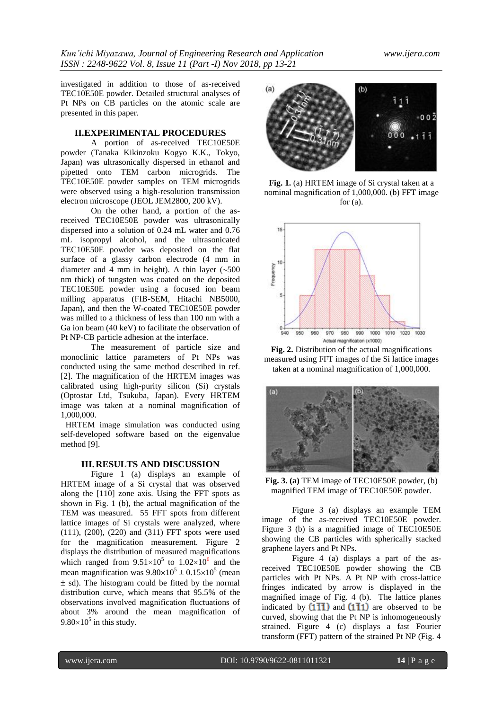investigated in addition to those of as-received TEC10E50E powder. Detailed structural analyses of Pt NPs on CB particles on the atomic scale are presented in this paper.

## **II.EXPERIMENTAL PROCEDURES**

A portion of as-received TEC10E50E powder (Tanaka Kikinzoku Kogyo K.K., Tokyo, Japan) was ultrasonically dispersed in ethanol and pipetted onto TEM carbon microgrids. The TEC10E50E powder samples on TEM microgrids were observed using a high-resolution transmission electron microscope (JEOL JEM2800, 200 kV).

On the other hand, a portion of the asreceived TEC10E50E powder was ultrasonically dispersed into a solution of 0.24 mL water and 0.76 mL isopropyl alcohol, and the ultrasonicated TEC10E50E powder was deposited on the flat surface of a glassy carbon electrode (4 mm in diameter and 4 mm in height). A thin layer  $(\sim 500$ nm thick) of tungsten was coated on the deposited TEC10E50E powder using a focused ion beam milling apparatus (FIB-SEM, Hitachi NB5000, Japan), and then the W-coated TEC10E50E powder was milled to a thickness of less than 100 nm with a Ga ion beam (40 keV) to facilitate the observation of Pt NP-CB particle adhesion at the interface.

The measurement of particle size and monoclinic lattice parameters of Pt NPs was conducted using the same method described in ref. [2]. The magnification of the HRTEM images was calibrated using high-purity silicon (Si) crystals (Optostar Ltd, Tsukuba, Japan). Every HRTEM image was taken at a nominal magnification of 1,000,000.

HRTEM image simulation was conducted using self-developed software based on the eigenvalue method [9].

### **III.RESULTS AND DISCUSSION**

Figure 1 (a) displays an example of HRTEM image of a Si crystal that was observed along the [110] zone axis. Using the FFT spots as shown in Fig. 1 (b), the actual magnification of the TEM was measured. 55 FFT spots from different lattice images of Si crystals were analyzed, where (111), (200), (220) and (311) FFT spots were used for the magnification measurement. Figure 2 displays the distribution of measured magnifications which ranged from  $9.51 \times 10^5$  to  $1.02 \times 10^6$  and the mean magnification was  $9.80 \times 10^5 \pm 0.15 \times 10^5$  (mean  $\pm$  sd). The histogram could be fitted by the normal distribution curve, which means that 95.5% of the observations involved magnification fluctuations of about 3% around the mean magnification of  $9.80\times10^5$  in this study.



**Fig. 1.** (a) HRTEM image of Si crystal taken at a nominal magnification of 1,000,000. (b) FFT image for  $(a)$ .



**Fig. 2.** Distribution of the actual magnifications measured using FFT images of the Si lattice images taken at a nominal magnification of 1,000,000.



**Fig. 3. (a)** TEM image of TEC10E50E powder, (b) magnified TEM image of TEC10E50E powder.

Figure 3 (a) displays an example TEM image of the as-received TEC10E50E powder. Figure 3 (b) is a magnified image of TEC10E50E showing the CB particles with spherically stacked graphene layers and Pt NPs.

Figure 4 (a) displays a part of the asreceived TEC10E50E powder showing the CB particles with Pt NPs. A Pt NP with cross-lattice fringes indicated by arrow is displayed in the magnified image of Fig. 4 (b). The lattice planes indicated by  $(1\overline{1}\overline{1})$  and  $(1\overline{1}1)$  are observed to be curved, showing that the Pt NP is inhomogeneously strained. Figure 4 (c) displays a fast Fourier transform (FFT) pattern of the strained Pt NP (Fig. 4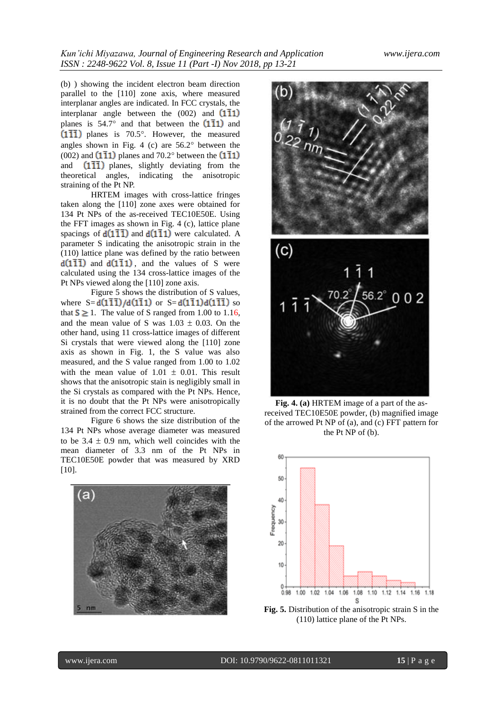(b) ) showing the incident electron beam direction parallel to the [110] zone axis, where measured interplanar angles are indicated. In FCC crystals, the interplanar angle between the  $(002)$  and  $(1\overline{1}1)$ planes is  $54.7^\circ$  and that between the  $(1\bar{1}1)$  and  $(1\overline{1}\overline{1})$  planes is 70.5°. However, the measured angles shown in Fig. 4 (c) are  $56.2^\circ$  between the (002) and  $(1\overline{1}1)$  planes and 70.2° between the  $(1\overline{1}1)$ and  $(1\overline{1}\overline{1})$  planes, slightly deviating from the theoretical angles, indicating the anisotropic straining of the Pt NP.

HRTEM images with cross-lattice fringes taken along the [110] zone axes were obtained for 134 Pt NPs of the as-received TEC10E50E. Using the FFT images as shown in Fig. 4 (c), lattice plane spacings of  $d(1\overline{1}\overline{1})$  and  $d(1\overline{1}1)$  were calculated. A parameter S indicating the anisotropic strain in the (110) lattice plane was defined by the ratio between  $d(1\overline{1}\overline{1})$  and  $d(1\overline{1}1)$ , and the values of S were calculated using the 134 cross-lattice images of the Pt NPs viewed along the [110] zone axis.

Figure 5 shows the distribution of S values, where  $S = d(1\bar{1}\bar{1})/d(1\bar{1}1)$  or  $S = d(1\bar{1}1)d(1\bar{1}\bar{1})$  so that  $S \ge 1$ . The value of S ranged from 1.00 to 1.16, and the mean value of S was  $1.03 \pm 0.03$ . On the other hand, using 11 cross-lattice images of different Si crystals that were viewed along the [110] zone axis as shown in Fig. 1, the S value was also measured, and the S value ranged from 1.00 to 1.02 with the mean value of  $1.01 \pm 0.01$ . This result shows that the anisotropic stain is negligibly small in the Si crystals as compared with the Pt NPs. Hence, it is no doubt that the Pt NPs were anisotropically strained from the correct FCC structure.

Figure 6 shows the size distribution of the 134 Pt NPs whose average diameter was measured to be  $3.4 \pm 0.9$  nm, which well coincides with the mean diameter of 3.3 nm of the Pt NPs in TEC10E50E powder that was measured by XRD [10].





**Fig. 4. (a)** HRTEM image of a part of the asreceived TEC10E50E powder, (b) magnified image of the arrowed Pt NP of (a), and (c) FFT pattern for the Pt NP of (b).



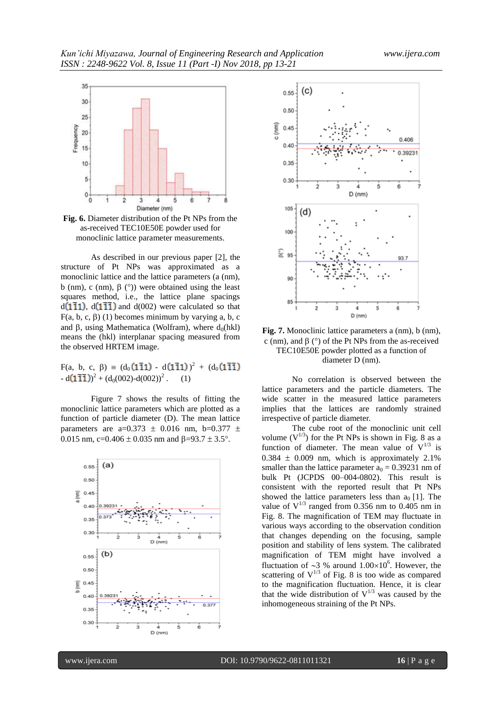

**Fig. 6.** Diameter distribution of the Pt NPs from the as-received TEC10E50E powder used for monoclinic lattice parameter measurements.

As described in our previous paper [2], the structure of Pt NPs was approximated as a monoclinic lattice and the lattice parameters (a (nm), b (nm), c (nm),  $\beta$  (°)) were obtained using the least squares method, i.e., the lattice plane spacings  $d(1\overline{1}1)$ ,  $d(1\overline{1}\overline{1})$  and  $d(002)$  were calculated so that  $F(a, b, c, \beta)$  (1) becomes minimum by varying a, b, c and  $\beta$ , using Mathematica (Wolfram), where  $d_0(hkl)$ means the (hkl) interplanar spacing measured from the observed HRTEM image.

 $F(a, b, c, \beta) = (d_0(1\overline{1}1) - d(1\overline{1}1))^2 + (d_0(1\overline{1}\overline{1}))$  $-d(1\overline{1}\overline{1})^2 + (d_0(002)-d(002))^2$ . (1)

Figure 7 shows the results of fitting the monoclinic lattice parameters which are plotted as a function of particle diameter (D). The mean lattice parameters are a=0.373  $\pm$  0.016 nm, b=0.377  $\pm$ 0.015 nm, c=0.406  $\pm$  0.035 nm and  $\beta$ =93.7  $\pm$  3.5°.





**Fig. 7.** Monoclinic lattice parameters a (nm), b (nm), c (nm), and  $\beta$  ( $\degree$ ) of the Pt NPs from the as-received TEC10E50E powder plotted as a function of diameter D (nm).

No correlation is observed between the lattice parameters and the particle diameters. The wide scatter in the measured lattice parameters implies that the lattices are randomly strained irrespective of particle diameter.

The cube root of the monoclinic unit cell volume  $(V^{1/3})$  for the Pt NPs is shown in Fig. 8 as a function of diameter. The mean value of  $V^{1/3}$  is  $0.384 \pm 0.009$  nm, which is approximately 2.1% smaller than the lattice parameter  $a_0 = 0.39231$  nm of bulk Pt (JCPDS 00–004-0802). This result is consistent with the reported result that Pt NPs showed the lattice parameters less than  $a_0$  [1]. The value of  $V^{1/3}$  ranged from 0.356 nm to 0.405 nm in Fig. 8. The magnification of TEM may fluctuate in various ways according to the observation condition that changes depending on the focusing, sample position and stability of lens system. The calibrated magnification of TEM might have involved a fluctuation of  $\sim$ 3 % around 1.00 $\times$ 10<sup>6</sup>. However, the scattering of  $V^{1/3}$  of Fig. 8 is too wide as compared to the magnification fluctuation. Hence, it is clear that the wide distribution of  $V^{1/3}$  was caused by the inhomogeneous straining of the Pt NPs.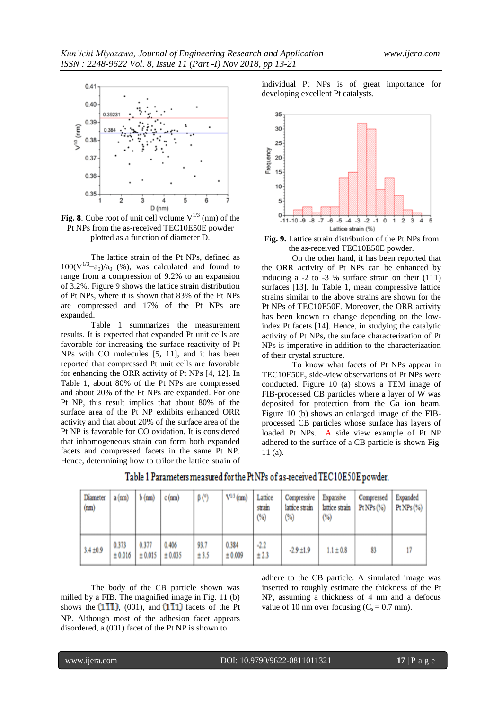

**Fig. 8**. Cube root of unit cell volume  $V^{1/3}$  (nm) of the Pt NPs from the as-received TEC10E50E powder plotted as a function of diameter D.

The lattice strain of the Pt NPs, defined as  $100(V^{1/3}-a_0)/a_0$  (%), was calculated and found to range from a compression of 9.2% to an expansion of 3.2%. Figure 9 shows the lattice strain distribution of Pt NPs, where it is shown that 83% of the Pt NPs are compressed and 17% of the Pt NPs are expanded.

Table 1 summarizes the measurement results. It is expected that expanded Pt unit cells are favorable for increasing the surface reactivity of Pt NPs with CO molecules [5, 11], and it has been reported that compressed Pt unit cells are favorable for enhancing the ORR activity of Pt NPs [4, 12]. In Table 1, about 80% of the Pt NPs are compressed and about 20% of the Pt NPs are expanded. For one Pt NP, this result implies that about 80% of the surface area of the Pt NP exhibits enhanced ORR activity and that about 20% of the surface area of the Pt NP is favorable for CO oxidation. It is considered that inhomogeneous strain can form both expanded facets and compressed facets in the same Pt NP. Hence, determining how to tailor the lattice strain of individual Pt NPs is of great importance for developing excellent Pt catalysts.



**Fig. 9.** Lattice strain distribution of the Pt NPs from the as-received TEC10E50E powder.

On the other hand, it has been reported that the ORR activity of Pt NPs can be enhanced by inducing a -2 to -3 % surface strain on their (111) surfaces [13]. In Table 1, mean compressive lattice strains similar to the above strains are shown for the Pt NPs of TEC10E50E. Moreover, the ORR activity has been known to change depending on the lowindex Pt facets [14]. Hence, in studying the catalytic activity of Pt NPs, the surface characterization of Pt NPs is imperative in addition to the characterization of their crystal structure.

To know what facets of Pt NPs appear in TEC10E50E, side-view observations of Pt NPs were conducted. Figure 10 (a) shows a TEM image of FIB-processed CB particles where a layer of W was deposited for protection from the Ga ion beam. Figure 10 (b) shows an enlarged image of the FIBprocessed CB particles whose surface has layers of loaded Pt NPs. A side view example of Pt NP adhered to the surface of a CB particle is shown Fig. 11 (a).

| Diameter<br>(nm) | $a$ (nm)         | $b$ (nm)         | $c$ (nm)         | $\beta$ (°)  | $V^{1/3}$ (nm)   | Lattice<br>stram<br>(%) | Compressive<br>lattice strain<br>(%) | Expansive<br>lattice strain<br>(%) | Compressed<br>Pt NPs $(%)$ | Expanded<br>PtNP <sub>5</sub> (%) |
|------------------|------------------|------------------|------------------|--------------|------------------|-------------------------|--------------------------------------|------------------------------------|----------------------------|-----------------------------------|
| $3.4 \pm 0.9$    | 0.373<br>± 0.016 | 0.377<br>± 0.015 | 0.406<br>± 0.035 | 93.7<br>±3.5 | 0.384<br>± 0.009 | $-2.2$<br>±2.3          | $-2.9 \pm 1.9$                       | $1.1 \pm 0.8$                      | 83                         |                                   |

Table 1 Parameters measured for the Pt NPs of as-received TEC10E50E powder.

The body of the CB particle shown was milled by a FIB. The magnified image in Fig. 11 (b) shows the  $(1\overline{11})$ , (001), and  $(1\overline{11})$  facets of the Pt NP. Although most of the adhesion facet appears disordered, a (001) facet of the Pt NP is shown to

adhere to the CB particle. A simulated image was inserted to roughly estimate the thickness of the Pt NP, assuming a thickness of 4 nm and a defocus value of 10 nm over focusing  $(C_s = 0.7 \text{ mm})$ .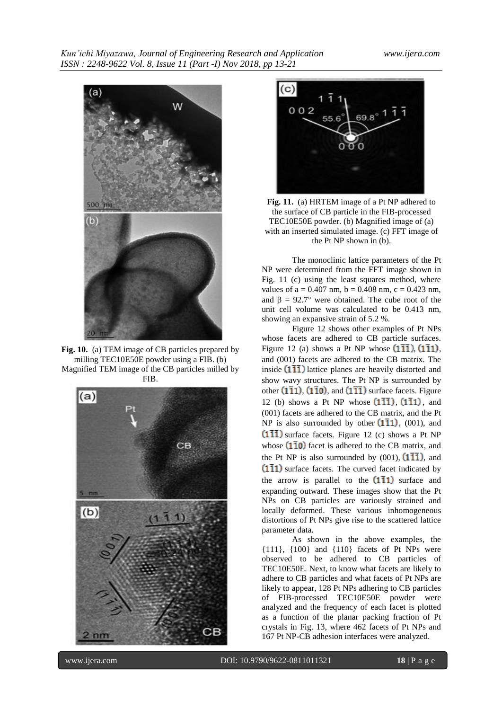

Fig. 10. (a) TEM image of CB particles prepared by milling TEC10E50E powder using a FIB. (b) Magnified TEM image of the CB particles milled by FIB.





**Fig. 11.** (a) HRTEM image of a Pt NP adhered to the surface of CB particle in the FIB-processed TEC10E50E powder. (b) Magnified image of (a) with an inserted simulated image. (c) FFT image of the Pt NP shown in (b).

The monoclinic lattice parameters of the Pt NP were determined from the FFT image shown in Fig. 11 (c) using the least squares method, where values of a =  $0.407$  nm, b =  $0.408$  nm, c =  $0.423$  nm, and  $\beta = 92.7^{\circ}$  were obtained. The cube root of the unit cell volume was calculated to be 0.413 nm, showing an expansive strain of 5.2 %.

Figure 12 shows other examples of Pt NPs whose facets are adhered to CB particle surfaces. Figure 12 (a) shows a Pt NP whose  $(1\overline{11})$ ,  $(1\overline{11})$ , and (001) facets are adhered to the CB matrix. The inside  $(1\overline{1}\overline{1})$  lattice planes are heavily distorted and show wavy structures. The Pt NP is surrounded by other  $(1\overline{1}1)$ ,  $(1\overline{1}0)$ , and  $(1\overline{1}\overline{1})$  surface facets. Figure 12 (b) shows a Pt NP whose  $(1\overline{11})$ ,  $(1\overline{11})$ , and (001) facets are adhered to the CB matrix, and the Pt NP is also surrounded by other  $(1\overline{1}1)$ , (001), and  $(1\overline{1}\overline{1})$  surface facets. Figure 12 (c) shows a Pt NP whose  $(1\bar{1}0)$  facet is adhered to the CB matrix, and the Pt NP is also surrounded by  $(001)$ ,  $(1\overline{1}\overline{1})$ , and  $(1\overline{1}1)$  surface facets. The curved facet indicated by the arrow is parallel to the  $(1\bar{1}1)$  surface and expanding outward. These images show that the Pt NPs on CB particles are variously strained and locally deformed. These various inhomogeneous distortions of Pt NPs give rise to the scattered lattice parameter data.

As shown in the above examples, the {111}, {100} and {110} facets of Pt NPs were observed to be adhered to CB particles of TEC10E50E. Next, to know what facets are likely to adhere to CB particles and what facets of Pt NPs are likely to appear, 128 Pt NPs adhering to CB particles of FIB-processed TEC10E50E powder were analyzed and the frequency of each facet is plotted as a function of the planar packing fraction of Pt crystals in Fig. 13, where 462 facets of Pt NPs and 167 Pt NP-CB adhesion interfaces were analyzed.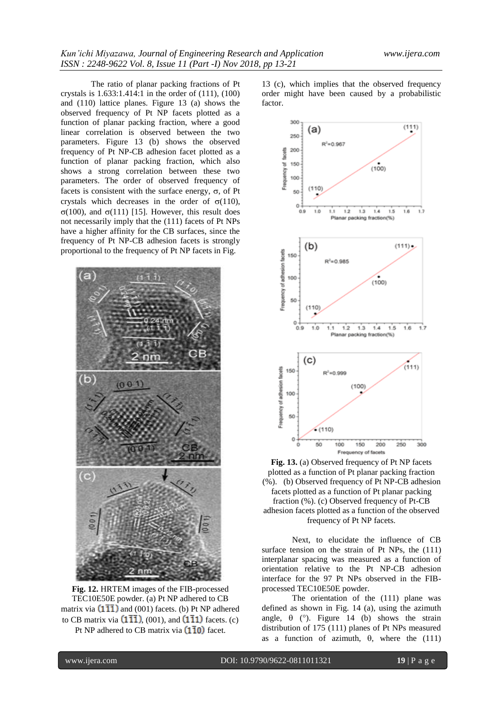The ratio of planar packing fractions of Pt crystals is 1.633:1.414:1 in the order of (111), (100) and (110) lattice planes. Figure 13 (a) shows the observed frequency of Pt NP facets plotted as a function of planar packing fraction, where a good linear correlation is observed between the two parameters. Figure 13 (b) shows the observed frequency of Pt NP-CB adhesion facet plotted as a function of planar packing fraction, which also shows a strong correlation between these two parameters. The order of observed frequency of facets is consistent with the surface energy,  $\sigma$ , of Pt crystals which decreases in the order of  $\sigma(110)$ ,  $\sigma(100)$ , and  $\sigma(111)$  [15]. However, this result does not necessarily imply that the (111) facets of Pt NPs have a higher affinity for the CB surfaces, since the frequency of Pt NP-CB adhesion facets is strongly proportional to the frequency of Pt NP facets in Fig.



**Fig. 12.** HRTEM images of the FIB-processed TEC10E50E powder. (a) Pt NP adhered to CB matrix via  $(1\overline{1}\overline{1})$  and (001) facets. (b) Pt NP adhered to CB matrix via  $(1\overline{11})$ , (001), and  $(1\overline{11})$  facets. (c) Pt NP adhered to CB matrix via  $(1\bar{1}0)$  facet.

13 (c), which implies that the observed frequency order might have been caused by a probabilistic factor.



**Fig. 13.** (a) Observed frequency of Pt NP facets plotted as a function of Pt planar packing fraction (%). (b) Observed frequency of Pt NP-CB adhesion facets plotted as a function of Pt planar packing fraction (%). (c) Observed frequency of Pt-CB adhesion facets plotted as a function of the observed frequency of Pt NP facets.

Next, to elucidate the influence of CB surface tension on the strain of Pt NPs, the  $(111)$ interplanar spacing was measured as a function of orientation relative to the Pt NP-CB adhesion interface for the 97 Pt NPs observed in the FIBprocessed TEC10E50E powder.

The orientation of the (111) plane was defined as shown in Fig. 14 (a), using the azimuth angle,  $\theta$  (°). Figure 14 (b) shows the strain distribution of 175 (111) planes of Pt NPs measured as a function of azimuth,  $\theta$ , where the (111)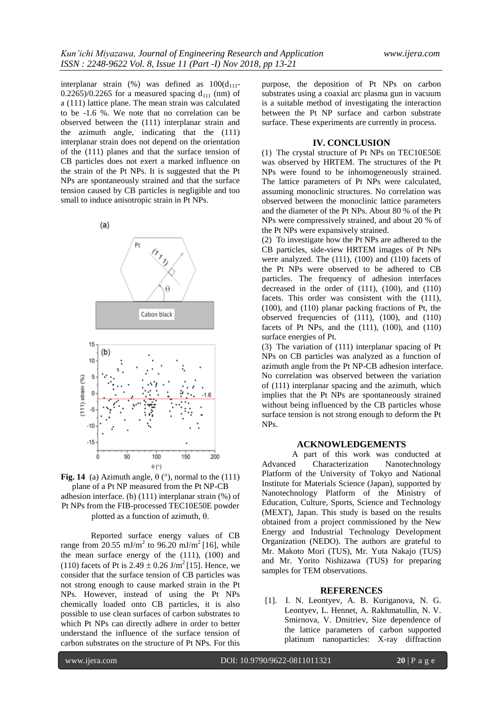interplanar strain (%) was defined as  $100(d_{111} 0.2265/0.2265$  for a measured spacing  $d_{111}$  (nm) of a (111) lattice plane. The mean strain was calculated to be -1.6 %. We note that no correlation can be observed between the (111) interplanar strain and the azimuth angle, indicating that the (111) interplanar strain does not depend on the orientation of the (111) planes and that the surface tension of CB particles does not exert a marked influence on the strain of the Pt NPs. It is suggested that the Pt NPs are spontaneously strained and that the surface tension caused by CB particles is negligible and too small to induce anisotropic strain in Pt NPs.





Reported surface energy values of CB range from 20.55 mJ/m<sup>2</sup> to 96.20 mJ/m<sup>2</sup> [16], while the mean surface energy of the (111), (100) and (110) facets of Pt is  $2.49 \pm 0.26$  J/m<sup>2</sup> [15]. Hence, we consider that the surface tension of CB particles was not strong enough to cause marked strain in the Pt NPs. However, instead of using the Pt NPs chemically loaded onto CB particles, it is also possible to use clean surfaces of carbon substrates to which Pt NPs can directly adhere in order to better understand the influence of the surface tension of carbon substrates on the structure of Pt NPs. For this

purpose, the deposition of Pt NPs on carbon substrates using a coaxial arc plasma gun in vacuum is a suitable method of investigating the interaction between the Pt NP surface and carbon substrate surface. These experiments are currently in process.

# **IV. CONCLUSION**

(1) The crystal structure of Pt NPs on TEC10E50E was observed by HRTEM. The structures of the Pt NPs were found to be inhomogeneously strained. The lattice parameters of Pt NPs were calculated, assuming monoclinic structures. No correlation was observed between the monoclinic lattice parameters and the diameter of the Pt NPs. About 80 % of the Pt NPs were compressively strained, and about 20 % of the Pt NPs were expansively strained.

(2) To investigate how the Pt NPs are adhered to the CB particles, side-view HRTEM images of Pt NPs were analyzed. The (111), (100) and (110) facets of the Pt NPs were observed to be adhered to CB particles. The frequency of adhesion interfaces decreased in the order of (111), (100), and (110) facets. This order was consistent with the (111), (100), and (110) planar packing fractions of Pt, the observed frequencies of (111), (100), and (110) facets of Pt NPs, and the  $(111)$ ,  $(100)$ , and  $(110)$ surface energies of Pt.

(3) The variation of (111) interplanar spacing of Pt NPs on CB particles was analyzed as a function of azimuth angle from the Pt NP-CB adhesion interface. No correlation was observed between the variation of (111) interplanar spacing and the azimuth, which implies that the Pt NPs are spontaneously strained without being influenced by the CB particles whose surface tension is not strong enough to deform the Pt NPs.

#### **ACKNOWLEDGEMENTS**

A part of this work was conducted at Advanced Characterization Nanotechnology Platform of the University of Tokyo and National Institute for Materials Science (Japan), supported by Nanotechnology Platform of the Ministry of Education, Culture, Sports, Science and Technology (MEXT), Japan. This study is based on the results obtained from a project commissioned by the New Energy and Industrial Technology Development Organization (NEDO). The authors are grateful to Mr. Makoto Mori (TUS), Mr. Yuta Nakajo (TUS) and Mr. Yorito Nishizawa (TUS) for preparing samples for TEM observations.

#### **REFERENCES**

[1]. I. N. Leontyev, A. B. Kuriganova, N. G. Leontyev, L. Hennet, A. Rakhmatullin, N. V. Smirnova, V. Dmitriev, Size dependence of the lattice parameters of carbon supported platinum nanoparticles: X-ray diffraction